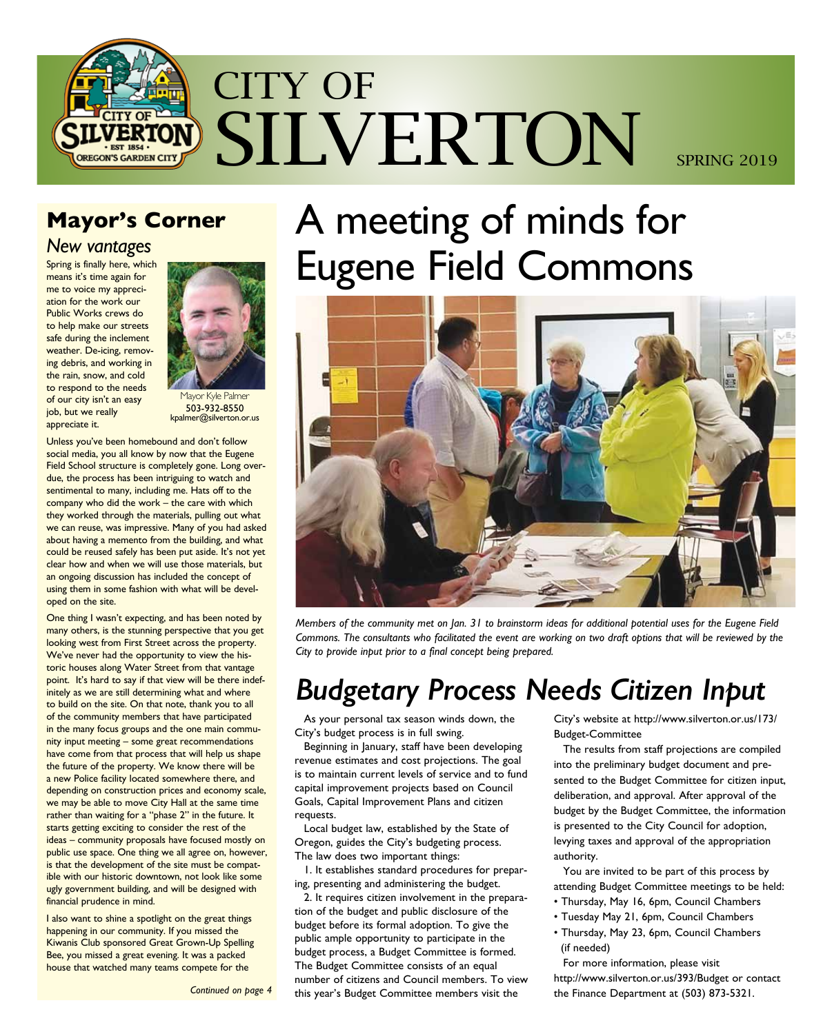

## **Mayor's Corner**

## *New vantages*

Spring is finally here, which means it's time again for me to voice my appreciation for the work our Public Works crews do to help make our streets safe during the inclement weather. De-icing, removing debris, and working in the rain, snow, and cold to respond to the needs of our city isn't an easy job, but we really appreciate it.



lavor Kyle Palmer 503-932-8550 kpalmer@silverton.or.us

Unless you've been homebound and don't follow social media, you all know by now that the Eugene Field School structure is completely gone. Long overdue, the process has been intriguing to watch and sentimental to many, including me. Hats off to the company who did the work – the care with which they worked through the materials, pulling out what we can reuse, was impressive. Many of you had asked about having a memento from the building, and what could be reused safely has been put aside. It's not yet clear how and when we will use those materials, but an ongoing discussion has included the concept of using them in some fashion with what will be developed on the site.

One thing I wasn't expecting, and has been noted by many others, is the stunning perspective that you get looking west from First Street across the property. We've never had the opportunity to view the historic houses along Water Street from that vantage point. It's hard to say if that view will be there indefinitely as we are still determining what and where to build on the site. On that note, thank you to all of the community members that have participated in the many focus groups and the one main community input meeting – some great recommendations have come from that process that will help us shape the future of the property. We know there will be a new Police facility located somewhere there, and depending on construction prices and economy scale, we may be able to move City Hall at the same time rather than waiting for a "phase 2" in the future. It starts getting exciting to consider the rest of the ideas – community proposals have focused mostly on public use space. One thing we all agree on, however, is that the development of the site must be compatible with our historic downtown, not look like some ugly government building, and will be designed with financial prudence in mind.

I also want to shine a spotlight on the great things happening in our community. If you missed the Kiwanis Club sponsored Great Grown-Up Spelling Bee, you missed a great evening. It was a packed house that watched many teams compete for the

A meeting of minds for Eugene Field Commons



*Members of the community met on Jan. 31 to brainstorm ideas for additional potential uses for the Eugene Field Commons. The consultants who facilitated the event are working on two draft options that will be reviewed by the City to provide input prior to a final concept being prepared.*

## *Budgetary Process Needs Citizen Input*

As your personal tax season winds down, the City's budget process is in full swing.

Beginning in January, staff have been developing revenue estimates and cost projections. The goal is to maintain current levels of service and to fund capital improvement projects based on Council Goals, Capital Improvement Plans and citizen requests.

Local budget law, established by the State of Oregon, guides the City's budgeting process. The law does two important things:

1. It establishes standard procedures for preparing, presenting and administering the budget.

2. It requires citizen involvement in the preparation of the budget and public disclosure of the budget before its formal adoption. To give the public ample opportunity to participate in the budget process, a Budget Committee is formed. The Budget Committee consists of an equal number of citizens and Council members. To view this year's Budget Committee members visit the

City's website at http://www.silverton.or.us/173/ Budget-Committee

The results from staff projections are compiled into the preliminary budget document and presented to the Budget Committee for citizen input, deliberation, and approval. After approval of the budget by the Budget Committee, the information is presented to the City Council for adoption, levying taxes and approval of the appropriation authority.

You are invited to be part of this process by attending Budget Committee meetings to be held:

- Thursday, May 16, 6pm, Council Chambers
	- Tuesday May 21, 6pm, Council Chambers
	- Thursday, May 23, 6pm, Council Chambers (if needed)

For more information, please visit http://www.silverton.or.us/393/Budget or contact the Finance Department at (503) 873-5321.

*Continued on page 4*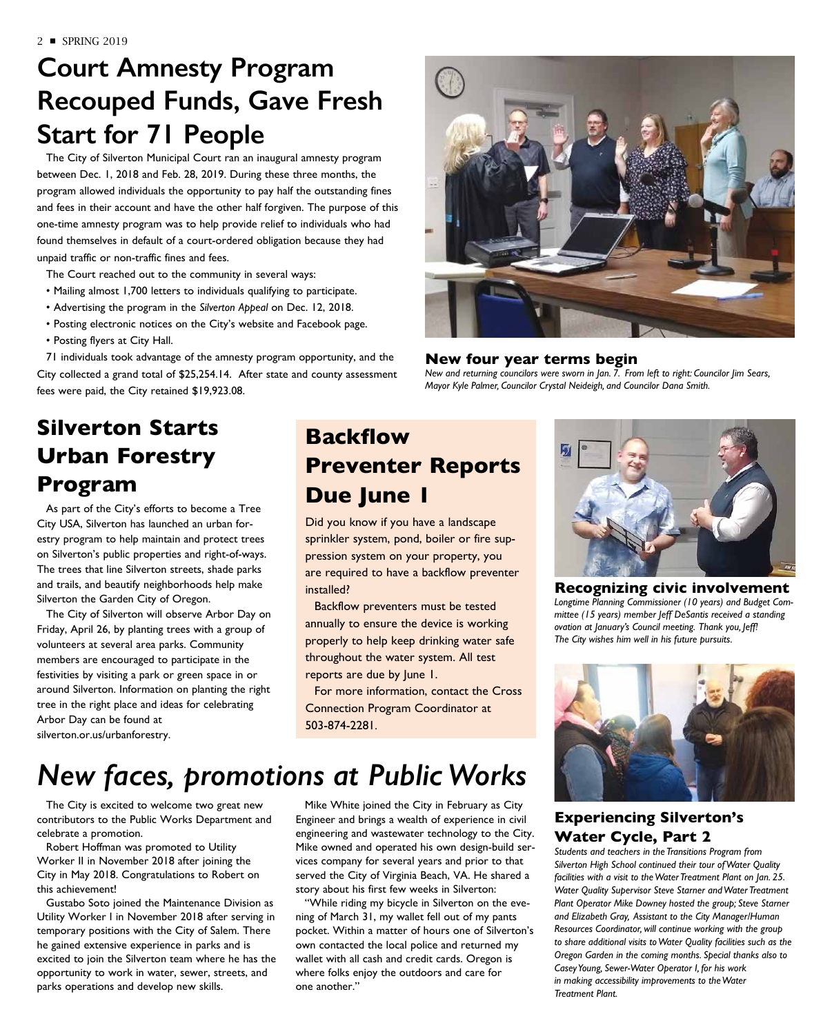## **Court Amnesty Program Recouped Funds, Gave Fresh Start for 71 People**

The City of Silverton Municipal Court ran an inaugural amnesty program between Dec. 1, 2018 and Feb. 28, 2019. During these three months, the program allowed individuals the opportunity to pay half the outstanding fines and fees in their account and have the other half forgiven. The purpose of this one-time amnesty program was to help provide relief to individuals who had found themselves in default of a court-ordered obligation because they had unpaid traffic or non-traffic fines and fees.

The Court reached out to the community in several ways:

- Mailing almost 1,700 letters to individuals qualifying to participate.
- Advertising the program in the *Silverton Appeal* on Dec. 12, 2018.
- Posting electronic notices on the City's website and Facebook page.
- Posting flyers at City Hall.

71 individuals took advantage of the amnesty program opportunity, and the City collected a grand total of \$25,254.14. After state and county assessment fees were paid, the City retained \$19,923.08.

### **New four year terms begin**

*New and returning councilors were sworn in Jan. 7. From left to right: Councilor Jim Sears, Mayor Kyle Palmer, Councilor Crystal Neideigh, and Councilor Dana Smith.*

## **Silverton Starts Urban Forestry Program**

As part of the City's efforts to become a Tree City USA, Silverton has launched an urban forestry program to help maintain and protect trees on Silverton's public properties and right-of-ways. The trees that line Silverton streets, shade parks and trails, and beautify neighborhoods help make Silverton the Garden City of Oregon.

The City of Silverton will observe Arbor Day on Friday, April 26, by planting trees with a group of volunteers at several area parks. Community members are encouraged to participate in the festivities by visiting a park or green space in or around Silverton. Information on planting the right tree in the right place and ideas for celebrating Arbor Day can be found at silverton.or.us/urbanforestry.

## **Backflow Preventer Reports Due June 1**

Did you know if you have a landscape sprinkler system, pond, boiler or fire suppression system on your property, you are required to have a backflow preventer installed?

Backflow preventers must be tested annually to ensure the device is working properly to help keep drinking water safe throughout the water system. All test reports are due by June 1.

For more information, contact the Cross Connection Program Coordinator at 503-874-2281.

# *New faces, promotions at Public Works*

The City is excited to welcome two great new contributors to the Public Works Department and celebrate a promotion.

Robert Hoffman was promoted to Utility Worker II in November 2018 after joining the City in May 2018. Congratulations to Robert on this achievement!

Gustabo Soto joined the Maintenance Division as Utility Worker I in November 2018 after serving in temporary positions with the City of Salem. There he gained extensive experience in parks and is excited to join the Silverton team where he has the opportunity to work in water, sewer, streets, and parks operations and develop new skills.

Mike White joined the City in February as City Engineer and brings a wealth of experience in civil engineering and wastewater technology to the City. Mike owned and operated his own design-build services company for several years and prior to that served the City of Virginia Beach, VA. He shared a story about his first few weeks in Silverton:

"While riding my bicycle in Silverton on the evening of March 31, my wallet fell out of my pants pocket. Within a matter of hours one of Silverton's own contacted the local police and returned my wallet with all cash and credit cards. Oregon is where folks enjoy the outdoors and care for one another."



### **Recognizing civic involvement**  *Longtime Planning Commissioner (10 years) and Budget Committee (15 years) member Jeff DeSantis received a standing ovation at January's Council meeting. Thank you, Jeff! The City wishes him well in his future pursuits.*



## **Experiencing Silverton's Water Cycle, Part 2**

*Students and teachers in the Transitions Program from Silverton High School continued their tour of Water Quality facilities with a visit to the Water Treatment Plant on Jan. 25. Water Quality Supervisor Steve Starner and Water Treatment Plant Operator Mike Downey hosted the group; Steve Starner and Elizabeth Gray, Assistant to the City Manager/Human Resources Coordinator, will continue working with the group to share additional visits to Water Quality facilities such as the Oregon Garden in the coming months. Special thanks also to Casey Young, Sewer-Water Operator I, for his work in making accessibility improvements to the Water Treatment Plant.*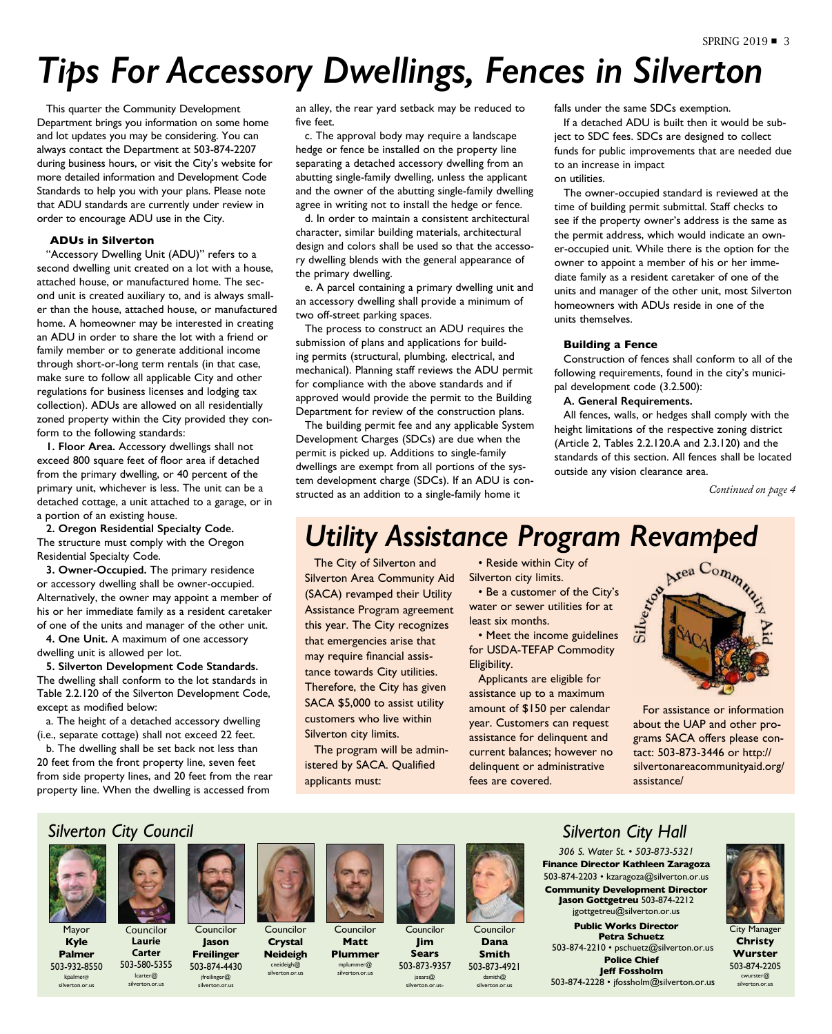# *Tips For Accessory Dwellings, Fences in Silverton*

This quarter the Community Development Department brings you information on some home and lot updates you may be considering. You can always contact the Department at 503-874-2207 during business hours, or visit the City's website for more detailed information and Development Code Standards to help you with your plans. Please note that ADU standards are currently under review in order to encourage ADU use in the City.

### **ADUs in Silverton**

"Accessory Dwelling Unit (ADU)" refers to a second dwelling unit created on a lot with a house, attached house, or manufactured home. The second unit is created auxiliary to, and is always smaller than the house, attached house, or manufactured home. A homeowner may be interested in creating an ADU in order to share the lot with a friend or family member or to generate additional income through short-or-long term rentals (in that case, make sure to follow all applicable City and other regulations for business licenses and lodging tax collection). ADUs are allowed on all residentially zoned property within the City provided they conform to the following standards:

**1. Floor Area.** Accessory dwellings shall not exceed 800 square feet of floor area if detached from the primary dwelling, or 40 percent of the primary unit, whichever is less. The unit can be a detached cottage, a unit attached to a garage, or in a portion of an existing house.

**2. Oregon Residential Specialty Code.** The structure must comply with the Oregon Residential Specialty Code.

**3. Owner-Occupied.** The primary residence or accessory dwelling shall be owner-occupied. Alternatively, the owner may appoint a member of his or her immediate family as a resident caretaker of one of the units and manager of the other unit.

**4. One Unit.** A maximum of one accessory dwelling unit is allowed per lot.

**5. Silverton Development Code Standards.** The dwelling shall conform to the lot standards in Table 2.2.120 of the Silverton Development Code, except as modified below:

a. The height of a detached accessory dwelling (i.e., separate cottage) shall not exceed 22 feet.

b. The dwelling shall be set back not less than 20 feet from the front property line, seven feet from side property lines, and 20 feet from the rear property line. When the dwelling is accessed from

an alley, the rear yard setback may be reduced to five feet.

c. The approval body may require a landscape hedge or fence be installed on the property line separating a detached accessory dwelling from an abutting single-family dwelling, unless the applicant and the owner of the abutting single-family dwelling agree in writing not to install the hedge or fence.

d. In order to maintain a consistent architectural character, similar building materials, architectural design and colors shall be used so that the accessory dwelling blends with the general appearance of the primary dwelling.

e. A parcel containing a primary dwelling unit and an accessory dwelling shall provide a minimum of two off-street parking spaces.

The process to construct an ADU requires the submission of plans and applications for building permits (structural, plumbing, electrical, and mechanical). Planning staff reviews the ADU permit for compliance with the above standards and if approved would provide the permit to the Building Department for review of the construction plans.

The building permit fee and any applicable System Development Charges (SDCs) are due when the permit is picked up. Additions to single-family dwellings are exempt from all portions of the system development charge (SDCs). If an ADU is constructed as an addition to a single-family home it

falls under the same SDCs exemption.

If a detached ADU is built then it would be subject to SDC fees. SDCs are designed to collect funds for public improvements that are needed due to an increase in impact on utilities.

The owner-occupied standard is reviewed at the time of building permit submittal. Staff checks to see if the property owner's address is the same as the permit address, which would indicate an owner-occupied unit. While there is the option for the owner to appoint a member of his or her immediate family as a resident caretaker of one of the units and manager of the other unit, most Silverton homeowners with ADUs reside in one of the units themselves.

### **Building a Fence**

Construction of fences shall conform to all of the following requirements, found in the city's municipal development code (3.2.500):

### **A. General Requirements.**

All fences, walls, or hedges shall comply with the height limitations of the respective zoning district (Article 2, Tables 2.2.120.A and 2.3.120) and the standards of this section. All fences shall be located outside any vision clearance area.

*Continued on page 4*

# *Utility Assistance Program Revamped*<br>The City of Silverton and **Conservant City of** Silverton City limits.<br>Silverton Area Community Aid Silverton city limits.

The City of Silverton and Silverton Area Community Aid (SACA) revamped their Utility Assistance Program agreement this year. The City recognizes that emergencies arise that may require financial assistance towards City utilities. Therefore, the City has given SACA \$5,000 to assist utility customers who live within Silverton city limits.

The program will be administered by SACA. Qualified applicants must:

• Reside within City of Silverton city limits.

• Be a customer of the City's water or sewer utilities for at least six months.

• Meet the income guidelines for USDA-TEFAP Commodity Eligibility.

Applicants are eligible for assistance up to a maximum amount of \$150 per calendar year. Customers can request assistance for delinquent and current balances; however no delinquent or administrative fees are covered.



For assistance or information about the UAP and other programs SACA offers please contact: 503-873-3446 or http:// silvertonareacommunityaid.org/ assistance/

## *Silverton City Council*



Mayor **Kyle Palmer**

503-932-8550 kpalmer@ silverton.or.us



Councilor **Jason Freilinger**

jfreilinger@ silverton.or.us



**Crystal Neideigh** cneideigh@ silverton.or.us

Councilor **Matt** 



Councilor **Jim Sears** 503-873-9357 jsears@ silverton.or.us-



Councilor **Dana Smith** 503-873-4921 dsmith@ silverton.or.us

### *Silverton City Hall*

*306 S. Water St. • 503-873-5321* **Finance Director Kathleen Zaragoza** 503-874-2203 • kzaragoza@silverton.or.us **Community Development Director Jason Gottgetreu** 503-874-2212 jgottgetreu@silverton.or.us

**Public Works Director Petra Schuetz** 503-874-2210 • pschuetz@silverton.or.us **Police Chief Jeff Fossholm** 503-874-2228 • jfossholm@silverton.or.us



City Manager **Christy Wurster** 503-874-2205 cwurster@ silverton.or.us

**Plummer**  mplummer@ silverton.or.us